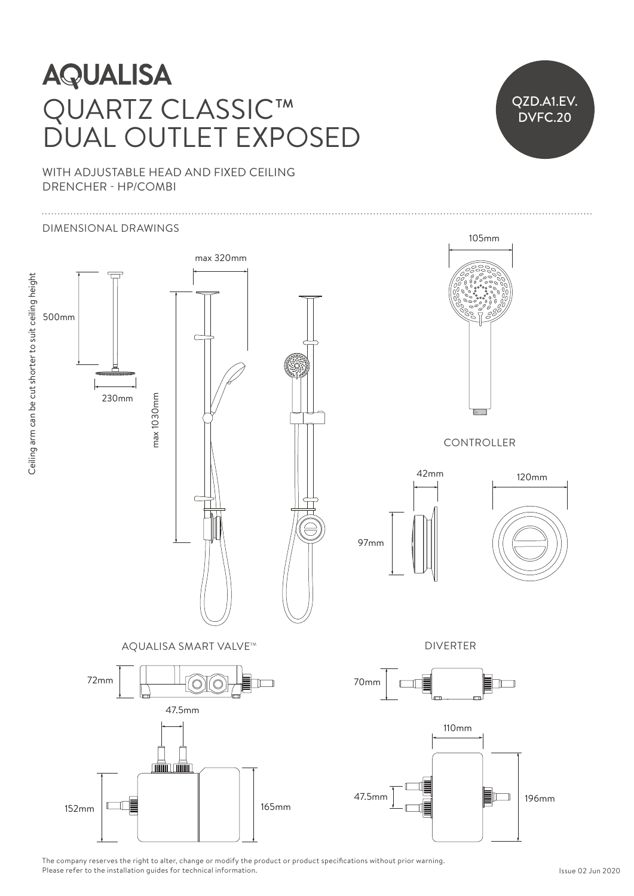## Adjustable up to maximum centres of the maximum centres of the set  $\mathcal{S}$  $\overline{\phantom{0}}$ **AQUALISA** JARTZ CLASSIC™ QUARTZ CLASSIC™ DUAL OUTLET EXPOSED



70mm

WITH ADJUSTABLE HEAD AND FIXED CEILING DRENCHER - HP/COMBI



The company reserves the right to alter, change or modify the product or product specifications without prior warning. The company reserves the right to alter, change or mourry the p<br>Please refer to the installation guides for technical information.